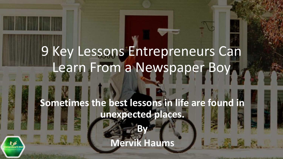# 9 Key Lessons Entrepreneurs Can Learn From a Newspaper Boy **Sometimes the best lessons in life are found in unexpected places. By Mervik Haums**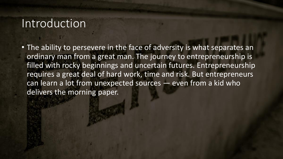## Introduction

• The ability to persevere in the face of adversity is what separates an ordinary man from a great man. The journey to entrepreneurship is filled with rocky beginnings and uncertain futures. Entrepreneurship requires a great deal of hard work, time and risk. But entrepreneurs can learn a lot from unexpected sources *—* even from a kid who delivers the morning paper.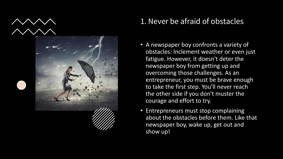



## 1. Never be afraid of obstacles

- A newspaper boy confronts a variety of obstacles: Inclement weather or even just fatigue. However, it doesn't deter the newspaper boy from getting up and overcoming those challenges. As an entrepreneur, you must be brave enough to take the first step. You'll never reach the other side if you don't muster the courage and effort to try.
- Entrepreneurs must stop complaining about the obstacles before them. Like that newspaper boy, wake up, get out and show up!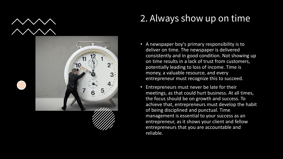

## 2. Always show up on time

- A newspaper boy's primary responsibility is to deliver on time. The newspaper is delivered consistently and in good condition. Not showing up on time results in a lack of trust from customers, potentially leading to loss of income. Time is money, a valuable resource, and every entrepreneur must recognize this to succeed.
- Entrepreneurs must never be late for their meetings, as that could hurt business. At all times, the focus should be on growth and success. To achieve that, entrepreneurs must develop the habit of being disciplined and punctual. Time management is essential to your success as an entrepreneur, as it shows your client and fellow entrepreneurs that you are accountable and reliable.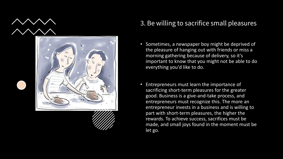

### 3. Be willing to sacrifice small pleasures

- Sometimes, a newspaper boy might be deprived of the pleasure of hanging out with friends or miss a morning gathering because of delivery, so it's important to know that you might not be able to do everything you'd like to do.
- Entrepreneurs must learn the importance of sacrificing short-term pleasures for the greater good. Business is a give-and-take process, and entrepreneurs must recognize this. The more an entrepreneur invests in a business and is willing to part with short-term pleasures, the higher the rewards. To achieve success, sacrifices must be made, and small joys found in the moment must be let go.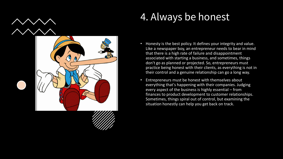

## 4. Always be honest

- Honesty is the best policy. It defines your integrity and value. Like a newspaper boy, an entrepreneur needs to bear in mind that there is a high rate of failure and disappointment associated with starting a business, and sometimes, things don't go as planned or projected. So, entrepreneurs must practice being honest with their clients, as everything is not in their control and a genuine relationship can go a long way.
- Entrepreneurs must be honest with themselves about everything that's happening with their companies. Judging every aspect of the business is highly essential – from finances to product development to customer relationships. Sometimes, things spiral out of control, but examining the situation honestly can help you get back on track.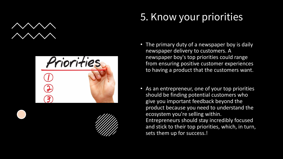



## 5. Know your priorities

- The primary duty of a newspaper boy is daily newspaper delivery to customers. A newspaper boy's top priorities could range from ensuring positive customer experiences to having a product that the customers want.
- As an entrepreneur, one of your top priorities should be finding potential customers who give you important feedback beyond the product because you need to understand the ecosystem you're selling within. Entrepreneurs should stay incredibly focused and stick to their top priorities, which, in turn, sets them up for success.!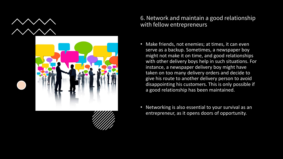

### 6. Network and maintain a good relationship with fellow entrepreneurs

- Make friends, not enemies; at times, it can even serve as a backup. Sometimes, a newspaper boy might not make it on time, and good relationships with other delivery boys help in such situations. For instance, a newspaper delivery boy might have taken on too many delivery orders and decide to give his route to another delivery person to avoid disappointing his customers. This is only possible if a good relationship has been maintained.
- Networking is also essential to your survival as an entrepreneur, as it opens doors of opportunity.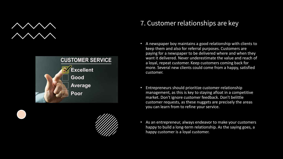



## 7. Customer relationships are key

- A newspaper boy maintains a good relationship with clients to keep them and also for referral purposes. Customers are paying for a newspaper to be delivered where and when they want it delivered. Never underestimate the value and reach of a loyal, repeat customer. Keep customers coming back for more. Several new clients could come from a happy, satisfied customer.
- Entrepreneurs should prioritize customer-relationship management, as this is key to staying afloat in a competitive market. Don't ignore customer feedback. Don't belittle customer requests, as these nuggets are precisely the areas you can learn from to refine your service.
- As an entrepreneur, always endeavor to make your customers happy to build a long-term relationship. As the saying goes, a happy customer is a loyal customer.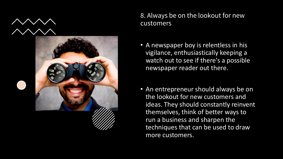



### 8. Always be on the lookout for new customers

- A newspaper boy is relentless in his vigilance, enthusiastically keeping a watch out to see if there's a possible newspaper reader out there.
- An entrepreneur should always be on the lookout for new customers and ideas. They should constantly reinvent themselves, think of better ways to run a business and sharpen the techniques that can be used to draw more customers.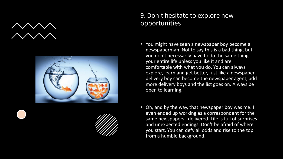



### 9. Don't hesitate to explore new opportunities

- You might have seen a newspaper boy become a newspaperman. Not to say this is a bad thing, but you don't necessarily have to do the same thing your entire life unless you like it and are comfortable with what you do. You can always explore, learn and get better, just like a newspaperdelivery boy can become the newspaper agent, add more delivery boys and the list goes on. Always be open to learning.
- Oh, and by the way, that newspaper boy was me. I even ended up working as a correspondent for the same newspapers I delivered. Life is full of surprises and unexpected endings. Don't be afraid of where you start. You can defy all odds and rise to the top from a humble background.